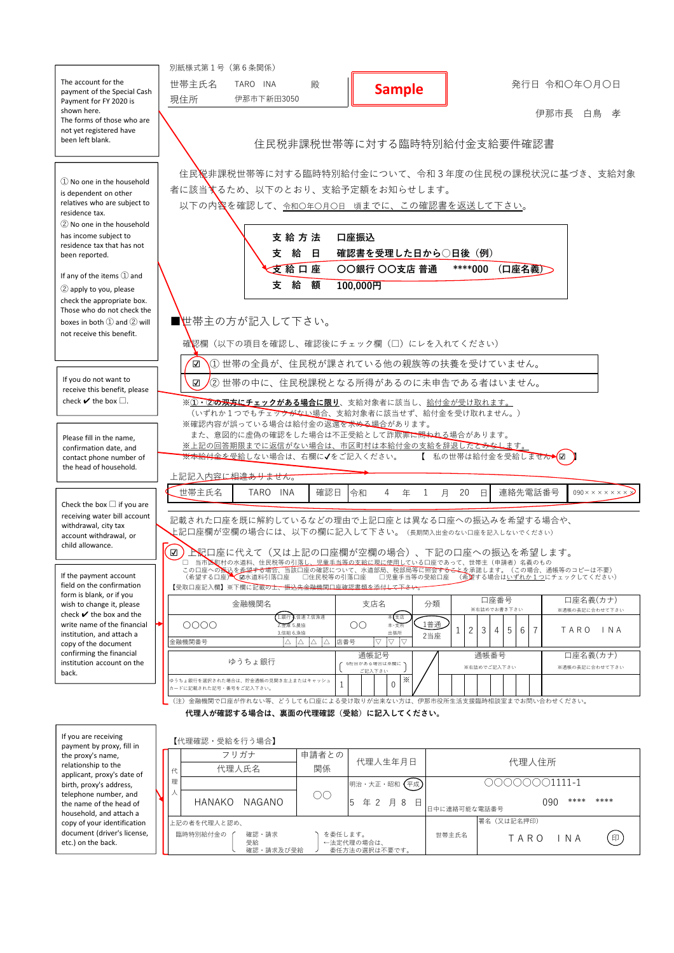